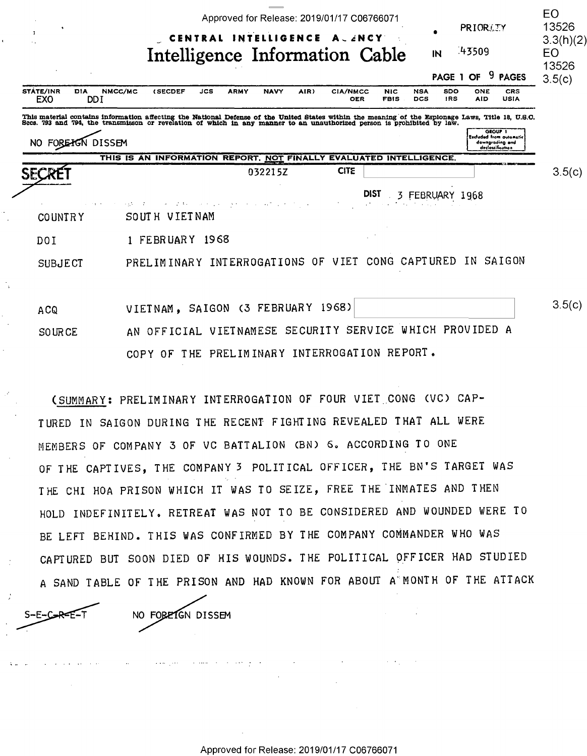|                                                     | Approved for Release: 2019/01/17 C06766071<br>PRIORITY                                                                                                                                                                            | EO<br>13526     |
|-----------------------------------------------------|-----------------------------------------------------------------------------------------------------------------------------------------------------------------------------------------------------------------------------------|-----------------|
| л                                                   | INTELLIGENCE A . ZNCY<br>CENTRAL<br>43509<br>Intelligence Information Cable<br>IN                                                                                                                                                 | 3.3(h)(2)<br>EO |
|                                                     | 9 PAGES<br>PAGE 1 OF                                                                                                                                                                                                              | 13526<br>3.5(c) |
| STATE/INR<br><b>DIA</b><br><b>EXO</b><br><b>DDI</b> | NMCC/MC<br>AIR)<br><b>(SECDEF</b><br><b>JCS</b><br><b>ARMY</b><br><b>NAVY</b><br><b>CIA/NMCC</b><br>SDO<br>CRS<br><b>NIC</b><br><b>NSA</b><br>ONE<br><b>USIA</b><br><b>OER</b><br><b>FBIS</b><br>DCS<br><b>IRS</b><br>AID         |                 |
|                                                     | This material contains information affecting the National Defense of the United States within the meaning of the Espionage Laws, Title 18, U.S.O.<br>Secs. 793 and 794, the transmisson or revelation of which in any manner to a |                 |
| NO FOREAGN DISSEM                                   | GROUP 1<br>Excluded from automotic<br>downgroding and<br>declossification                                                                                                                                                         |                 |
|                                                     | THIS IS AN INFORMATION REPORT, NOT FINALLY EVALUATED INTELLIGENCE.                                                                                                                                                                |                 |
| <b>SECRET</b>                                       | <b>CITE</b><br>032215Z                                                                                                                                                                                                            | 3.5(c)          |
|                                                     | <b>DIST</b><br>FEBRUARY 1968<br>3<br><b>Participants</b>                                                                                                                                                                          |                 |
| <b>COUNTRY</b>                                      | SOUTH VIETNAM                                                                                                                                                                                                                     |                 |
| DO I                                                | 1 FEBRUARY 1968                                                                                                                                                                                                                   |                 |
| <b>SUBJECT</b>                                      | PRELIMINARY INTERROGATIONS OF VIET CONG CAPTURED<br>IN SAIGON                                                                                                                                                                     |                 |
|                                                     |                                                                                                                                                                                                                                   |                 |
| A <sub>C</sub> Q                                    | (3 FEBRUARY 1968)<br>SAIGON<br>VIETNAM,                                                                                                                                                                                           | 3.5(c)          |
| <b>SOURCE</b>                                       | AN OFFICIAL VIETNAMESE SECURITY SERVICE WHICH PROVIDED A                                                                                                                                                                          |                 |
|                                                     | COPY OF THE PRELIMINARY INTERROGATION REPORT.                                                                                                                                                                                     |                 |

(SUMMARY: PRELIMINARY INTERROGATION OF FOUR VIET CONG (VC) CAP-TURED IN SAIGON DURING THE RECENT FIGHTING REVEALED THAT ALL WERE MEMBERS OF COMPANY 3 OF VC BATTALION (BN) 6. ACCORDING TO ONE OF THE CAPTIVES, THE COMPANY 3 POLITICAL OFFICER, THE BN'S TARGET WAS THE CHI HOA PRISON WHICH IT WAS TO SEIZE, FREE THE INMATES AND THEN HOLD INDEFINITELY. RETREAT WAS NOT TO BE CONSIDERED AND WOUNDED WERE TO BE LEFT BEHIND. THIS WAS CONFIRMED BY THE COMPANY COMMANDER WHO WAS CAPTURED BUT SOON DIED OF HIS WOUNDS. THE POLITICAL OFFICER HAD STUDIED A SAND TABLE OF THE PRISON AND HAD KNOWN FOR ABOUT A MONTH OF THE ATTACK

NO FOREIGN DISSEM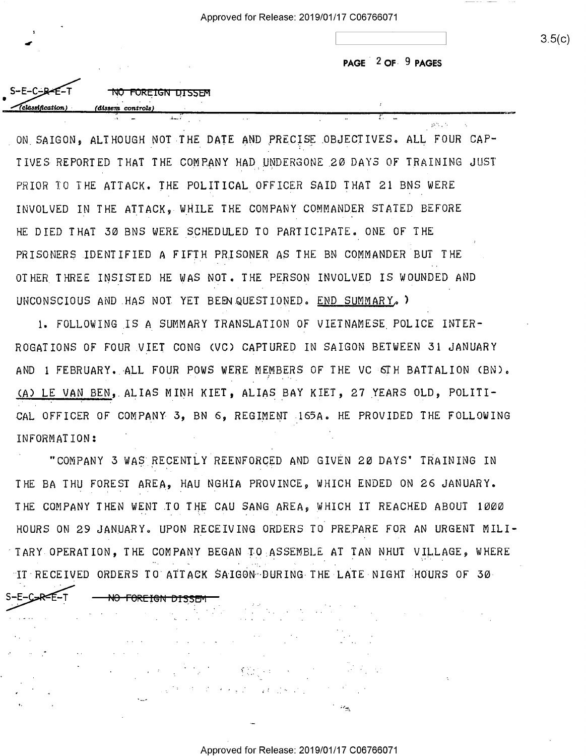**PAGE** . 2 **OF· 9 PAGES**  PAGE ' 2 OF- 9 PAGES

| $S-E-C-BE-T$            | NO FOREIGN DISSEM |  |
|-------------------------|-------------------|--|
|                         |                   |  |
| $\sqrt{classification}$ |                   |  |
|                         | (dissem controls) |  |

. I was a second control of the second control of the second control of the second control of the second control of

ON SAIGON, ALTHOUGH NOT THE DATE AND PRECISE OBJECTIVES. ALL FOUR CAP-TIVES REPORTED THAT THE COMPANY HAD UNDERGONE 20 DAYS OF TRAINING JUST PRIOR TO THE ATTACK. THE POLITICAL OFFICER SAID THAT 21 BNS WERE PRIOR TO THE ATTACK. THE POLITICAL\_OPPIOER SAID THAT 21 BNS WERE INVOLVED IN THE ATTACK, WHILE THE COMPANY COMMANDER STATED BEFORE INVOLVED IN THE ATTAOKINHILE THE COMPANY COMMANDER STATED BEFORE HE DIED THAT 30 BNS WERE SCHEDULED TO PARTICIPATE. ONE OF THE HE DIED THAT 50 BNS VERE SCHEDULED TO PARTICIPATE. ONE OF THE PRISONERS IDENTIFIED A FIFTH PRISONER AS THE BN COMMANDER BUT THE PRISONERs.IDENTIPIED A FIFTH PRISONER As THE BN COMMANDER BUT THE OTHER. THREE INSISTED HE WAS NOT. THE PERSON INVOLVED IS WOUNDED AND OTHER THREE INSISTED HE UAS NOT. THE PERSON INVOLVED TS VOUNDED AND UNCONSCIOUS AND HAS NOT YET BEEN.QUESTIONED. END SUMMARY, I

1. FOLLOWING \_IS A SUMMARY TRANSLATION OF VIETNAMESE. POLICE INTER-1. POLLOVINO IS A SUNNARY TRANSLATION OP VIETNAMESE POLIOE INTER-ROGATIONS OF FOUR VIET CONG (VC) CAPTURED IN SAIGON BETWEEN 31 JANUARY AND 1 FEBRUARY. ALL FOUR POWS WERE MEMBERS OF THE VC 6TH BATTALION (BN). (A) LE VAN BEN, ALIAS MINH KIET, ALIAS BAY KIET, 27 YEARS OLD, POLITI-CAL OFFICER OF COMPANY 3, BN 6, REGIMENT 165A. HE PROVIDED THE FOLLOWING IN FORMAT ION: INFORMATION: ' '

"COMPANY 3 WAS RECENTLY REENFORCED AND GIVEN 20 DAYS' TRAINING IN THE BA THU FOREST AREA, HAU NGHIA PROVINCE, WHICH ENDED ON 26 JANUARY. THE DA THU FOREST AREA, HAU NOHTA PROVINCE, NHIOH ENDED ON 26 JANUARY. THE COMPANY THEN WENT TO THE CAU SANG AREA, WHICH IT REACHED ABOUT 1000 HOURS ON 29 JANUARY. UPON RECEIVING ORDERS TO PREPARE FOR AN URGENT MILI-TARY OPERATION, THE COMPANY BEGAN TO ASSEMBLE AT TAN NHUT VILLAGE, WHERE IT RECEIVED ORDERS TO ATTACK SAIGON-DURING THE LATE NIGHT HOURS OF 30

<del>NO FOREIGN DISSEN</del>

S-E-C<del>-R-E-</del>T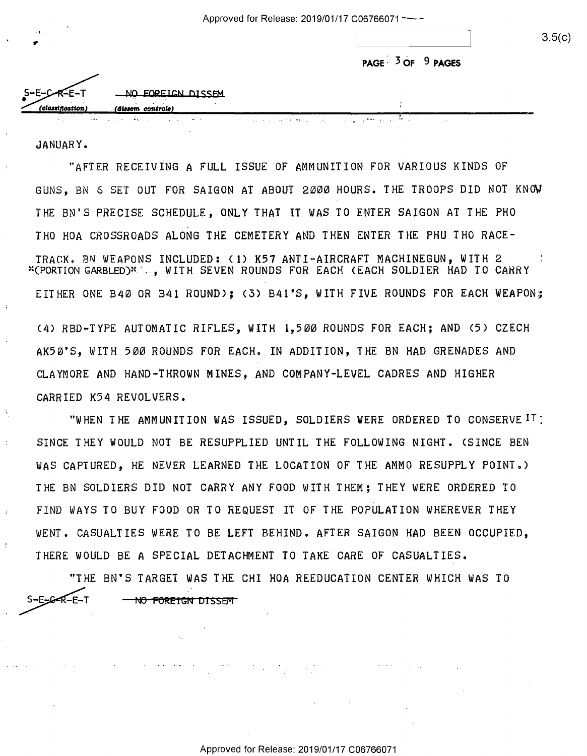| - 11 | 3.5(c) |
|------|--------|
|      |        |

| PAGE $3$ OF $9$ PAGES |  |  |
|-----------------------|--|--|
|-----------------------|--|--|

| ٠.               |                   |  |
|------------------|-------------------|--|
| (classification) | (dissem controls) |  |
| $S-E-C-R-E-T$    | NO FOREIGN DISSEM |  |
|                  |                   |  |
|                  |                   |  |
|                  |                   |  |
|                  |                   |  |

JANUARY. JANUARY.

"AFTER RECEIVING A FULL ISSUE OF AMMUNITION FOR VARIOUS KINDS OF "AFTER RECEIVING A FULL ISSUE OF AMMUNITION FOR VARIOUS KINDS OF GUNS, BN 6 SET OUT FOR SAIGON AT ABOUT 2000 HOURS. THE TROOPS DID NOT KNO\I GUNS, BN 6 SET OUT FOR SAIGON AT ABOUT 2000 HOURS. THE TROOPS DID NOT KNOW THE SN'S PRECISE SCHEDULE, ONLY THAT IT WAS TO ENTER SAIGON AT THE PHO THE BN'S PRECISE SCHEDULE, ONLY THAT IT WAS TO ENTER SAIGON AT THE PHO THO HOA CROSSROADS ALONG THE CEMETERY AND THEN ENTER THE PHU THO RACE-THO HOA CROSSROADS ALONG THE CEMETERY AND THEN ENTER THE PHU 'THO RACE-TRACK. BN WEAPONS INCLUDED: < 1) K57 ANTI-AIRCRAFT MACHINEGUN, WITH 2 TRACK. BN WEAPONS INCLUDED: (1) K57 ANTI-AIRCRAFT MACHINEGUN, WITH 2 ~'(PORTION GARBLED)'~ - . , WITH SEVEN ROUNDS FOR EACH <EACH SOLDIER HAD TO CAHRY "(PORTION GARBLED)"7.., WITH SEVEN ROUNDS FOR EACH (EACH SOLDIER HAD TO CARRY EITHER ONE B40 OR B41 ROUND); (3) B41'S, WITH FIVE ROUNDS FOR EACH WEAPON; (4) RBD-TYPE AUTOMATIC RIFLES, WITH 1,500 ROUNDS FOR EACH; AND (5) CZECH AK50'S, WITH 500 ROUNDS FOR EACH. IN ADDITION, THE BN HAD GRENADES AND CLAYMORE AND HAND-THROWN MINES, AND COMPANY-LEVEL CADRES AND HIGHER CLAYMORE AND HAND-THROMN MINES, AND COMPANY-LEVEL CADRES AND HIGHER CARRIED K54 REVOLVERS. CARRIED K54 REVOLVERS.

"WHEN THE AMMUNITION WAS ISSUED, SOLDIERS WERE ORDERED TO CONSERVE IT: "MHEN THE AMMUNITION MAS ISSUED, SOLDIERS MERE ORDERED TO CONSERVEIT: SINCE THEY WOULD NOT BE RESUPPLIED UNTIL THE FOLLOWING NIGHT. (SINCE BEN SINCE THEY MOULD NOT BE RESUPPLIED UNTIL THE FOLLOMING NIGHT. (SINCE BEN WAS CAPTURED, HE NEVER LEARNED THE LOCATION OF THE AMMO RESUPPLY POINT.) THE BN SOLDIERS DID NOT CARRY ANY FOOD WITH THEM; THEY WERE ORDERED TO FIND WAYS TO BUY FOOD OR TO REQUEST IT OF THE POPULATION WHEREVER THEY FIND MAYS TO BUY FOOD OR TO REQUEST IT OF THE POPULATION MHEREUER THEY WENT. CASUALTIES WERE TO BE LEFT BEHIND. AFTER SAIGON HAD BEEN OCCUPIED, MENT. CASUALTIES MERE TO BE LEFT BEHIND. AFTER SAIGON HAD BEEN OCCUPIED, THERE WOULD BE A SPECIAL DETACHMENT TO TAKE CARE OF CASUALTIES.

"THE BN'S TARGET WAS THE CHI HOA REEDUCATION CENTER WHICH WAS TO "THE BN'S TARGET MAS THE CHI HOA REEDUCATION CENTER MHICH MAS T0 S-E-G-R-E-T S-E<del>\_C<R</del>-E-T <del>- NO FOREIGN DISSEM</del>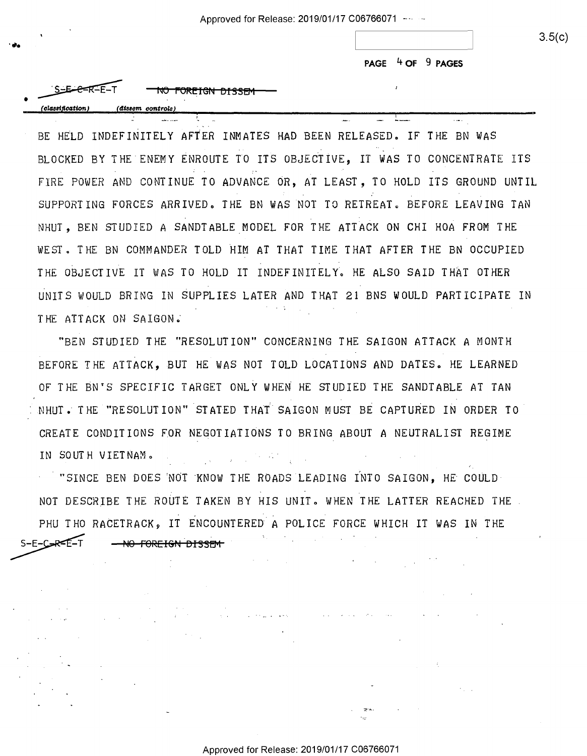**PAGE 4 OF 9 PAGES**  PAGE 4 OF 9 PAGES

|                                        | PAGE $4$ OF $9$ |  |
|----------------------------------------|-----------------|--|
| SE CR-E-T<br>.<br>FOREIGN DISSEM<br>NU |                 |  |
| (classification)<br>(dissem controls)  |                 |  |

BE HELD INDEFINITELY AFTER INMATES HAD BEEN RELEASED. IF THE BN WAS BLOCKED BY THE ENEMY ENROUTE TO ITS OBJECTIVE, IT WAS TO CONCENTRATE ITS FIRE POWER AND CONTINUE TO ADVANCE OR, AT LEAST, TO HOLD ITS GROUND UNTIL FIRE POVER AND CONTINUE TO ADVANCE OR, AT LEAST, TO HOLD ITS GROUND UNTIL SUPPORTING FORCES ARRIVED. THE BN WAS NOT TO RETREAT. BEFORE LEAVING TAN NHUT, BEN STUDIED A SANDTABLE MODEL FOR THE ATTACK ON CHI HOA FROM THE NHUT, BEN STUDIED A sANDTABLE\_NODEL FOR THE ATTACH ON CHI HOA FROM THE WEST. THE BN COMMANDER TOLD HIM AT THAT TIME THAT AFTER THE BN OCCUPIED THE OBJECTIVE IT WAS TO HOLD IT INDEFINITELY. HE ALSO SAID THAT OTHER UNITS WOULD BRING IN SUPPLIES LATER AND THAT 21 BNS WOULD PARTICIPATE IN UNITS VOULD BRING IN SUPPLIES LATER AND THAT 21 BNS VOULD PARTICIPATE IN THE ATTACK ON SAIGON.

' """ .sn— .. .-—. J..—\_—\_

"BEN STUDIED THE "RESOLUTION" CONCERNING THE SAIGON ATTACK A MONTH "BEN STUDIED THE "RESOLUTION" CONCERNING THE SAIGON ATTACH A MONTH BEFORE THE ATTACK, BUT HE WAS NOT TOLD LOCATIONS AND DATES. HE LEARNED OF THE BN'S SPECIFIC TARGET ONLY WHEN HE STUDIED THE SANDTABLE AT TAN NHUT. THE "RESOLUTION" STATED THAT SAIGON MUST BE CAPTURED IN ORDER TO CREATE CONDITIONS FOR NEGOTIATIONS TO BRING ABOUT A NEUTRALIST REGIME CREATE CONDITIONS FOR NEGOTIATIONS TO BRING ABOUT A NEUTRALIST REGINE IN SOUTH VIETNAM.  $\mathcal{L} = \mathcal{L} \left( \mathcal{L} \right)$  , where  $\mathcal{L} = \mathcal{L} \left( \mathcal{L} \right)$ 

- "SINCE BEN DOES 'NOT ·KNOW THE ROADS LEADING INTO SAIGON, HE COULD '"SINCE BEN DOES NOI'KNOW THE ROADS LEADING INTO SAIGON, HE COULD-NOT DESCRIBE THE ROUTE TAKEN BY HIS UNIT. WHEN THE LATTER REACHED THE PHU THO RACETRACK, IT ENCOUNTERED A POLICE FORCE WHICH IT WAS IN THE S-E-C<del>AR-E-</del>T <del>NO FOREIGN DISSEM</del>

**Contractor** Service

 $\sim 10^{11}$ 

~-....

and the same state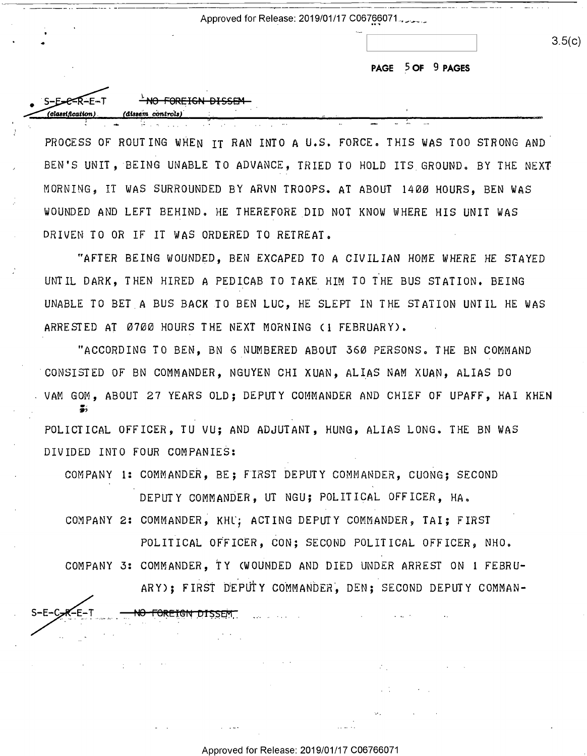Approved for Release: 2019/01/17 C067~~071 . \_\_\_\_ \_ Approved for Release: 2019/01/17 C067§§071 J'I-u - <sup>w</sup>

•

~~~.::- •~ **(cH11em** *C011troi.,J* 

erection of the Forthern Pissen ...

lan a (dissem controls

<u>i. <del>- NO FOREIGN DI</del>SSEM</u>

.. ' I

**PAGE 5 OF 9 PAGES**  PAGE \_5 OF 9 PAGES

 $3.5(c)$ 

. .... .\_\_ \_ \_.- . .

PROCESS OF ROUTING WHEN IT RAN INTO A U.S. FORCE. THIS WAS TOO STRONG AND PROCESS OF ROUTING NHEN IT RAN INTO A u.S. FORCE. THIS MAS TOO STRONG AND' BEN'S UNIT, BEING UNABLE TO ADVANCE, TRIED TO HOLD ITS GROUND. BY THE NEXT MORNING, IT WAS SURROUNDED BY ARVN TROOPS. AT ABOUT 1400 HOURS, BEN WAS MORNING, IT HAS SURROUNDED BY ARUN TROOPS. AT ABOUT IAOO HOURS, BEN MAS WOUNDED AND LEFT BEHIND. HE THEREFORE DID NOT KNOW WHERE HIS UNIT WAS MOUNDED AND LEFT BEHIND. HE THEREFORE\_DID NOT KNOM NHERE HIS UNIT MAS DRIVEN TO OR IF IT WAS ORDERED TO RETREAT. DRIVEN TO OR IF IT HAS ORDERED TO RETREAT.

.. ..- .. ' \_ <sup>o</sup> . . \_ .. '-

- - . . . .

"AFTER BEING WOUNDED, BEN EXCAPED TO A CIVILIAN HOME WHERE HE STAYED "AFTER BEING MOUNDED, BEN EXCAPED TO A CIVILIAN HOME MHERE HE STAYED UNTIL DARK, THEN HIRED A PEDICAB TO TAKE HIM TO THE BUS STATION. BEING UNTIL DARK, THEN HIRED A PEDICAB TO TAKE\_HIM TO THE BUS STATION. BEING UNABLE TO BET.A BUS BACK TO BEN LUC, HE SLEPT IN THE STATION UNTIL HE WAS UNABLE TO BET A BUS BACH.TO BEN LUC, HE SLEPT IN THE STATION UNTIL HE HAS ARRESTED AT 0700 HOURS THE NEXT MORNING ( 1 FEBRUARY). ARRESTED AT OTOG HOURS THE NEXT MORNING (1 FEBRUARY).

"ACCORD ING TO BEN, BN 6 NUMBERED ABOUT 360 PERSONS. THE BN COMMAND "ACCORDING TO BEN, BN 6\_NUMBERED ABOUT 56D PERSONS. THE BN COMMAND CONSISTED OF BN COMMANDER, NGUYEN CHI XUAN, ALIAS NAM XUAN, ALIAS DO 'CONSISTED OF BN COMMANDER, NGUYEN CHI XUAN, ALIAS NAM XUAN, ALIAS DO . VAM GOM, ABOUT 27 YEARS OLD; DEPUTY COMMANDER AND CHIEF OF UPAFF, HAI KHEN POLICTICAL OFFICER, TU VU; AND ADJUTANT, HUNG, ALIAS LONG. THE BN WAS POLICTICAL OFFICER, TU VU; AND ADJUTANT, HUNG, ALIAS LONG. THE BN MAS DIVIDED INTO FOUR COMPANIES: DIVIDED INTO FOUR COMPANIES: .5,

COMPANY 1: COMMANDER, BE; FIRST DEPUTY COMMANDER, CUONG; SECOND COMPANY 1: COMMANDER, BE; FIRST DEPUTY COMMANDER, CU0NG; SECOND

DEPUTY COMMANDER, UT NGU; POLITICAL OFFICER, HA. COMPANY 2: COMMANDER, KHL; ACTING DEPUTY COMMANDER, TAI; FIRST

POLITICAL OFFICER, CON; SECOND POLITICAL OFFICER 9 NHO. POLITICAL oFFICER, CON; SECOND POLITICAL OFFICER, NHO. COMPANY 3: COMMANDER, TY (WOUNDED AND DIED UNDER ARREST ON 1 FEBRU-COMPANY 5: COMMANDER, TY (MOUNDED AND DIED UNDER ARREST ON 1 FEBRU-

ARY); FIRST DEPUTY COMMANDER, DEN; SECOND DEPUTY COMMAN-

 $\mathcal{F}_{\text{out}}$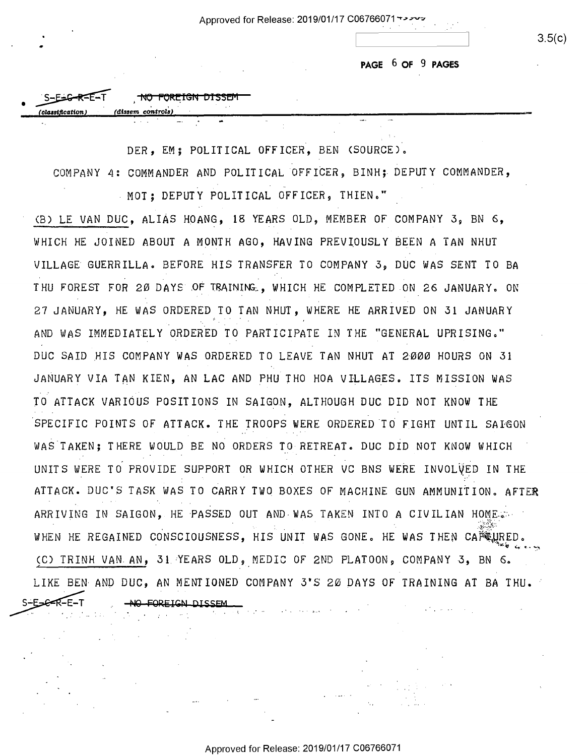Approved for Release: 2019/01/17 C06766071 +>>

PAGE 6 OF 9 PAGES

 $3.5(c)$ 

NO FOREIGN DISSEN  $S-F=2-RAF=T$ (dissem\_control

DER. EM: POLITICAL OFFICER. BEN (SOURCE).

COMPANY 4: COMMANDER AND POLITICAL OFFICER, BINH; DEPUTY COMMANDER,

MOT: DEPUTY POLITICAL OFFICER, THIEN."

(B) LE VAN DUC, ALIAS HOANG, 18 YEARS OLD, MEMBER OF COMPANY 3, BN 6, WHICH HE JOINED ABOUT A MONTH AGO, HAVING PREVIOUSLY BEEN A TAN NHUT VILLAGE GUERRILLA. BEFORE HIS TRANSFER TO COMPANY 3, DUC WAS SENT TO BA THU FOREST FOR 20 DAYS OF TRAINING, WHICH HE COMPLETED ON 26 JANUARY. ON 27 JANUARY, HE WAS ORDERED TO TAN NHUT, WHERE HE ARRIVED ON 31 JANUARY AND WAS IMMEDIATELY ORDERED TO PARTICIPATE IN THE "GENERAL UPRISING." DUC SAID HIS COMPANY WAS ORDERED TO LEAVE TAN NHUT AT 2000 HOURS ON 31 JANUARY VIA TAN KIEN, AN LAC AND PHU THO HOA VILLAGES. ITS MISSION WAS TO ATTACK VARIOUS POSITIONS IN SAIGON. ALTHOUGH DUC DID NOT KNOW THE SPECIFIC POINTS OF ATTACK. THE TROOPS WERE ORDERED TO FIGHT UNTIL SAIGON WAS TAKEN; THERE WOULD BE NO ORDERS TO RETREAT. DUC DID NOT KNOW WHICH UNITS WERE TO PROVIDE SUPPORT OR WHICH OTHER VC BNS WERE INVOLVED IN THE ATTACK. DUC'S TASK WAS TO CARRY TWO BOXES OF MACHINE GUN AMMUNITION. AFTER ARRIVING IN SAIGON, HE PASSED OUT AND WAS TAKEN INTO A CIVILIAN HOME. WHEN HE REGAINED CONSCIOUSNESS, HIS UNIT WAS GONE. HE WAS THEN CAPRURED. (C) TRINH VAN AN, 31 YEARS OLD, MEDIC OF 2ND PLATOON, COMPANY 3, BN 6. LIKE BEN AND DUC, AN MENTIONED COMPANY 3'S 20 DAYS OF TRAINING AT BA THU. FOREIGN DISSEM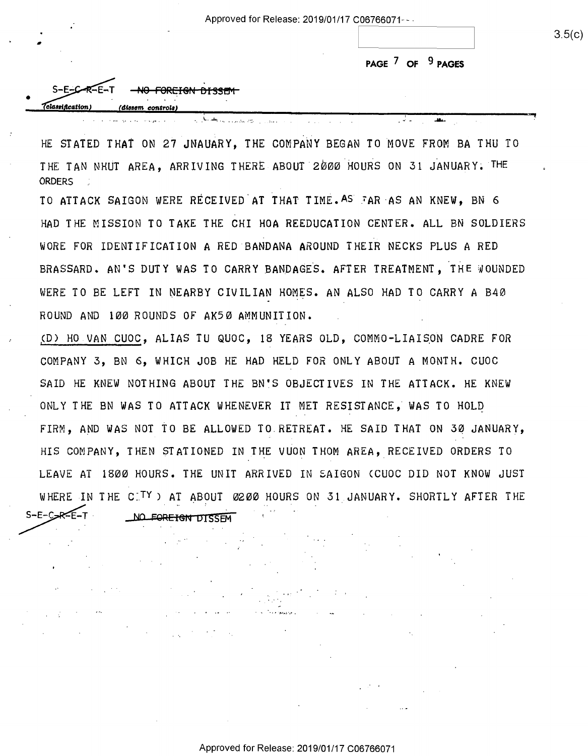Approved for Release: 2019/01/17 C06766071 --

PAGE 7 OF 9 PAGES

- 21

 $S-F-C$ NO FORFIGN DISSEM *Algael Reation* dissem controls

HE STATED THAT ON 27 JNAUARY, THE COMPANY BEGAN TO MOVE FROM BA THU TO THE TAN NHUT AREA, ARRIVING THERE ABOUT 2000 HOURS ON 31 JANUARY. THE **ORDERS** 

ومعارض والتواصح بروزو ووجها الكراري

TO ATTACK SAIGON WERE RECEIVED AT THAT TIME. AS TAR AS AN KNEW. BN 6 HAD THE MISSION TO TAKE THE CHI HOA REEDUCATION CENTER. ALL BN SOLDIERS WORE FOR IDENTIFICATION A RED BANDANA AROUND THEIR NECKS PLUS A RED BRASSARD. AN'S DUTY WAS TO CARRY BANDAGES. AFTER TREATMENT. THE WOUNDED WERE TO BE LEFT IN NEARBY CIVILIAN HOMES. AN ALSO HAD TO CARRY A B40 ROUND AND 100 ROUNDS OF AK50 AMMUNITION.

(D) HO VAN CUOC, ALIAS TU QUOC, 18 YEARS OLD, COMMO-LIAISON CADRE FOR COMPANY 3, BN 6, WHICH JOB HE HAD HELD FOR ONLY ABOUT A MONTH. CUOC SAID HE KNEW NOTHING ABOUT THE BN'S OBJECTIVES IN THE ATTACK. HE KNEW ONLY THE BN WAS TO ATTACK WHENEVER IT MET RESISTANCE. WAS TO HOLD FIRM, AND WAS NOT TO BE ALLOWED TO RETREAT. HE SAID THAT ON 30 JANUARY, HIS COMPANY, THEN STATIONED IN THE VUON THOM AREA, RECEIVED ORDERS TO LEAVE AT 1800 HOURS. THE UNIT ARRIVED IN SAIGON (CUOC DID NOT KNOW JUST WHERE IN THE CITY) AT ABOUT 0200 HOURS ON 31 JANUARY. SHORTLY AFTER THE  $S-E-C$ <sub> $>$  $R$  $E$  $-T$ </sub>

NO FOREIGN DISSEM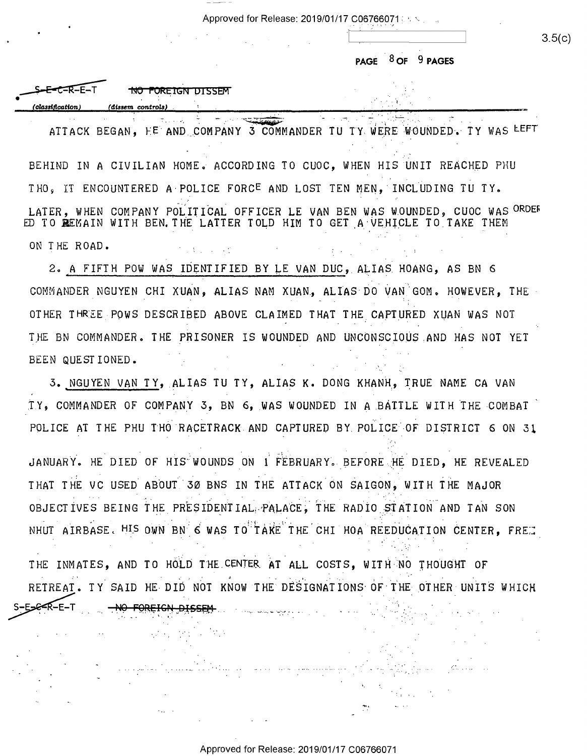Approved for Release: 2019/01/17 C0676~0?.1 : Approved for Release: 2019/01/17006766071 {. \*. \_ .

**PAGE** . 8 **OF 9 PAGES**  PAGE ISO-F 9 PAGES

 $\frac{1}{\sqrt{1-\frac{1}{\sqrt{1-\frac{1}{\sqrt{1-\frac{1}{\sqrt{1-\frac{1}{\sqrt{1-\frac{1}{\sqrt{1-\frac{1}{\sqrt{1-\frac{1}{\sqrt{1-\frac{1}{\sqrt{1-\frac{1}{\sqrt{1-\frac{1}{\sqrt{1-\frac{1}{\sqrt{1-\frac{1}{\sqrt{1-\frac{1}{\sqrt{1-\frac{1}{\sqrt{1-\frac{1}{\sqrt{1-\frac{1}{\sqrt{1-\frac{1}{\sqrt{1-\frac{1}{\sqrt{1-\frac{1}{\sqrt{1-\frac{1}{\sqrt{1-\frac{1}{\sqrt{1-\frac{1}{\sqrt{1-\frac{1}{\sqrt{1-\frac{1$ 

3.5(c)

|                  |                              | $\sim$ $\sim$<br>.              |
|------------------|------------------------------|---------------------------------|
|                  |                              |                                 |
|                  |                              | $8$ OF $9$ PAGES<br><b>PAGE</b> |
|                  |                              |                                 |
|                  | <b>NO FOREIGN DISSEM</b>     |                                 |
| (classification) | (dissem controls)            |                                 |
| $\sim$ $\sim$    | $\sim$ $\sim$<br>ಿನ ಪ್ರಾಂತವಾ |                                 |

ATTACK BEGAN, HE AND COMPANY 3 COMMANDER TU TY WERE WOUNDED. TY WAS LEFT -'4 .

BEHIND IN A CIVILIAN HOME. ACCORDING TO CUOC, WHEN HIS UNIT REACHED PHU . . THO, IT ENCOUNTERED A POLICE FORC<sup>E</sup> AND LOST TEN MEN, INCLUDING TU TY. LATER, WHEN COMPANY POLITICAL OFFICER LE VAN BEN WAS WOUNDED, CUOC WAS <sup>ORDER</sup> ED TO REMAIN WITH BEN. THE LATTER TOLD HIM TO GET A VEHICLE TO TAKE THEM ON THE ROAD. ON THE ROAD. 医腹膜炎 医心理

2. A FIFTH POW WAS IDENTIFIED BY LE VAN DUC, ALIAS HOANG, AS BN 6 . The set of the set of  $\alpha$ COMMANDER NGUYEN CHI XUAN, ALIAS NAM XUAN, ALIAS DO VAN GOM. HOWEVER, THE OTHER THREE POWS DESCRIBED ABOVE CLAIMED THAT THE CAPTURED XUAN WAS NOT THE BN COMMANDER. THE PRISONER IS WOUNDED AND UNCONSCIOUS AND HAS NOT YET BEEN QUESTIONED. BEEN OUESTIONED.  $\mathcal{L} = \{ \mathcal{L} \mid \mathcal{L} \in \mathcal{L} \}$  . The following the set of  $\mathcal{L} = \{ \mathcal{L} \mid \mathcal{L} \in \mathcal{L} \}$ 

3. NGUYEN VAN TY, ALIAS TU TY, ALIAS K. DONG KHANH, TRUE NAME CA VAN TY, COMMANDER OF COMPANY 3, BN 6, WAS WOUNDED IN A BATTLE WITH THE COMBAT  $\,$ POLICE AT THE PHU THO RACETRACK AND CAPTURED BY POLICE OF DISTRICT 6 ON 31

... , JANUARY. HE DIED OF HIS WOUNDS ON 1 FEBRUARY. BEFORE HE DIED, HE REVEALED THAT THE VC USED ABOUT 30 BNS IN THE ATTACK ON SAIGON, WITH THE MAJOR OBJECTIVES BEING THE PRESIDENTIAL PALACE, THE RADIO STATION AND TAN SON NHUT AIRBASE. <sup>HIS</sup> OWN BN 6 WAS TO<sup>!:</sup>TAKE THE CHI HOA REEDUCATION CENTER, FRES

THE INMATES, AND TO HOLD THE CENTER AT ALL COSTS, WITH NO THOUGHT OF<br>RETREAT. TY SAID HE DID NOT KNOW THE DESIGNATIONS OF THE OTHER UNITS WHICH<br>S-E-G-R-E-T <del>NO FOREICH DISSEM</del> RETREAT. TY SAID HE DID NOT KNOW THE DESIGNATIONS OF THE OTHER UNITS WHICH SE-R-E-T NO FOREIGN DISSEN  $\mathcal{C}_{\mathbf{r},\mathbf{r}}$  $\sim$   $\sim$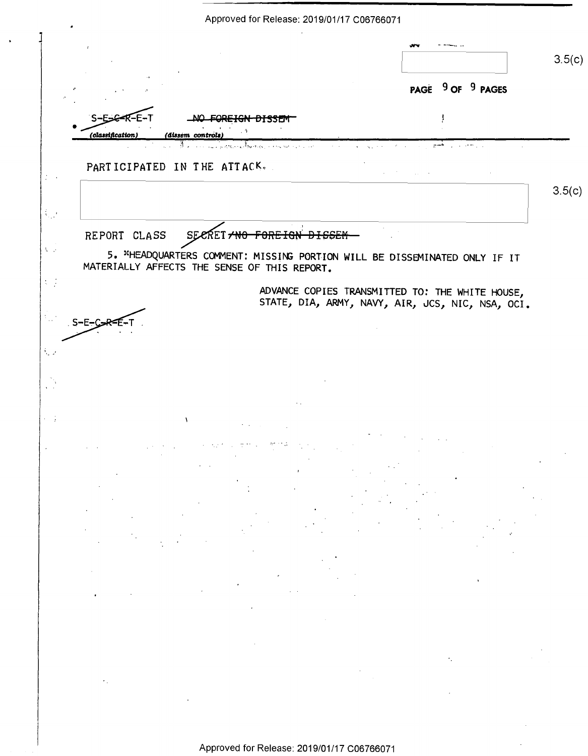Approved for Release: 2019/01/17 C06766071  $3.5(c)$ PAGE 9 OF 9 PAGES  $S-E$ **FOREIGN DISSEM** ţ (classification (dissem controls PARTICIPATED IN THE ATTACK.  $3.5(c)$  $\frac{1}{2}$ REPORT CLASS FOREIGN DISSEM SECRET <del>ANO</del>  $\lambda_{\rm{eff}}$ 5. \*HEADQUARTERS COMMENT: MISSING PORTION WILL BE DISSEMINATED ONLY IF IT MATERIALLY AFFECTS THE SENSE OF THIS REPORT.  $\mathcal{L}^{\text{eff}}$ ADVANCE COPIES TRANSMITTED TO: THE WHITE HOUSE, STATE, DIA, ARMY, NAVY, AIR, JCS, NIC, NSA, OCI. k, p  $\mathcal{L}^{\text{max}}$ Approved for Release: 2019/01/17 C06766071